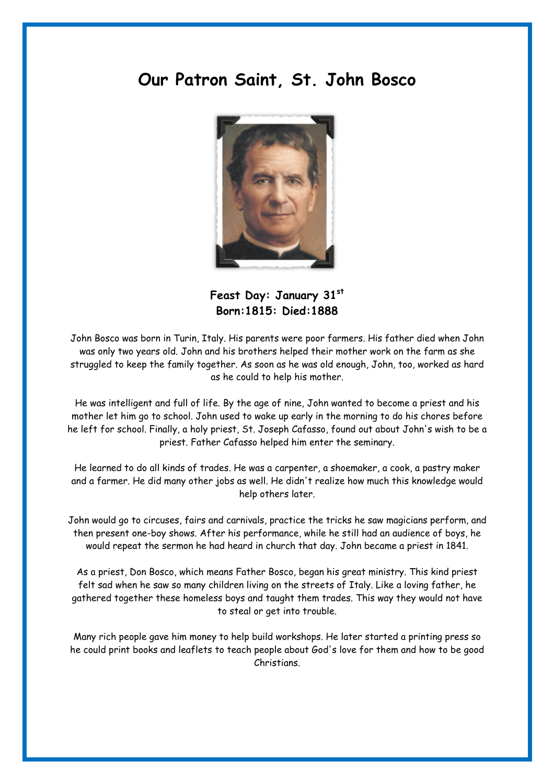## **Our Patron Saint, St. John Bosco**



Feast Day: January 31st **Born:1815: Died:1888** 

John Bosco was born in Turin, Italy. His parents were poor farmers. His father died when John was only two years old. John and his brothers helped their mother work on the farm as she struggled to keep the family together. As soon as he was old enough, John, too, worked as hard as he could to help his mother.

He was intelligent and full of life. By the age of nine, John wanted to become a priest and his mother let him go to school. John used to wake up early in the morning to do his chores before he left for school. Finally, a holy priest, St. Joseph Cafasso, found out about John's wish to be a priest. Father Cafasso helped him enter the seminary.

He learned to do all kinds of trades. He was a carpenter, a shoemaker, a cook, a pastry maker and a farmer. He did many other jobs as well. He didn't realize how much this knowledge would help others later.

John would go to circuses, fairs and carnivals, practice the tricks he saw magicians perform, and then present one-boy shows. After his performance, while he still had an audience of boys, he would repeat the sermon he had heard in church that day. John became a priest in 1841.

As a priest, Don Bosco, which means Father Bosco, began his great ministry. This kind priest felt sad when he saw so many children living on the streets of Italy. Like a loving father, he gathered together these homeless boys and taught them trades. This way they would not have to steal or get into trouble.

Many rich people gave him money to help build workshops. He later started a printing press so he could print books and leaflets to teach people about God's love for them and how to be good Christians.